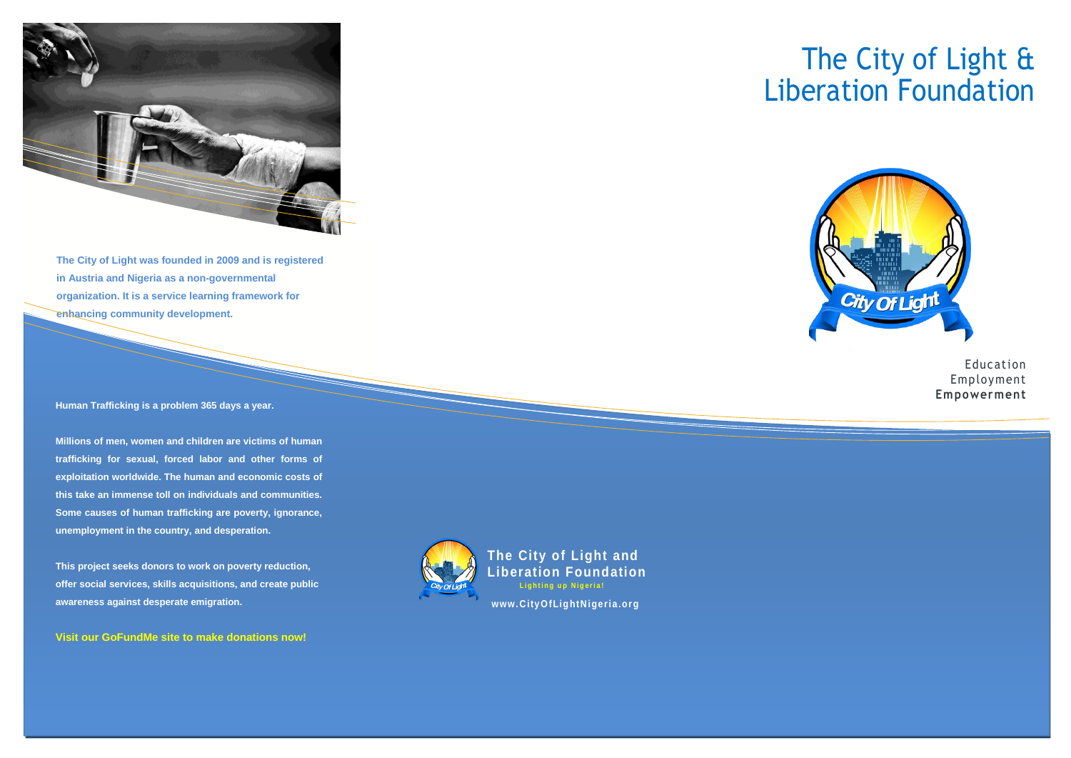

**The City of Light was founded in 2009 and is registered in Austria and Nigeria as a non-governmental organization. It is a service learning framework for enhancing community development.**

**Human Trafficking is a problem 365 days a year.**

**Millions of men, women and children are victims of human trafficking for sexual, forced labor and other forms of exploitation worldwide. The human and economic costs of this take an immense toll on individuals and communities. Some causes of human trafficking are poverty, ignorance, unemployment in the country, and desperation.**

**This project seeks donors to work on poverty reduction, offer social services, skills acquisitions, and create public awareness against desperate emigration.**

**Visit our GoFundMe site to make donations now!**

## **The City of Light and Liberation Foundation Lighting up Nigeria! www.City OfLig htNigeria .org**





Education Employment **Empowerment**